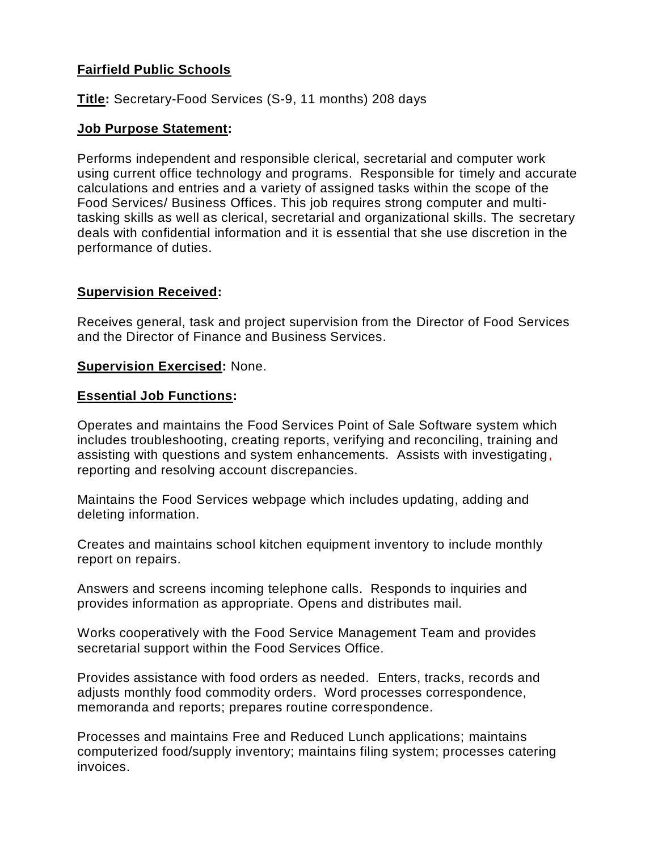# **Fairfield Public Schools**

**Title:** Secretary-Food Services (S-9, 11 months) 208 days

## **Job Purpose Statement:**

Performs independent and responsible clerical, secretarial and computer work using current office technology and programs. Responsible for timely and accurate calculations and entries and a variety of assigned tasks within the scope of the Food Services/ Business Offices. This job requires strong computer and multitasking skills as well as clerical, secretarial and organizational skills. The secretary deals with confidential information and it is essential that she use discretion in the performance of duties.

# **Supervision Received:**

Receives general, task and project supervision from the Director of Food Services and the Director of Finance and Business Services.

### **Supervision Exercised:** None.

#### **Essential Job Functions:**

Operates and maintains the Food Services Point of Sale Software system which includes troubleshooting, creating reports, verifying and reconciling, training and assisting with questions and system enhancements. Assists with investigating, reporting and resolving account discrepancies.

Maintains the Food Services webpage which includes updating, adding and deleting information.

Creates and maintains school kitchen equipment inventory to include monthly report on repairs.

Answers and screens incoming telephone calls. Responds to inquiries and provides information as appropriate. Opens and distributes mail.

Works cooperatively with the Food Service Management Team and provides secretarial support within the Food Services Office.

Provides assistance with food orders as needed. Enters, tracks, records and adjusts monthly food commodity orders. Word processes correspondence, memoranda and reports; prepares routine correspondence.

Processes and maintains Free and Reduced Lunch applications; maintains computerized food/supply inventory; maintains filing system; processes catering invoices.